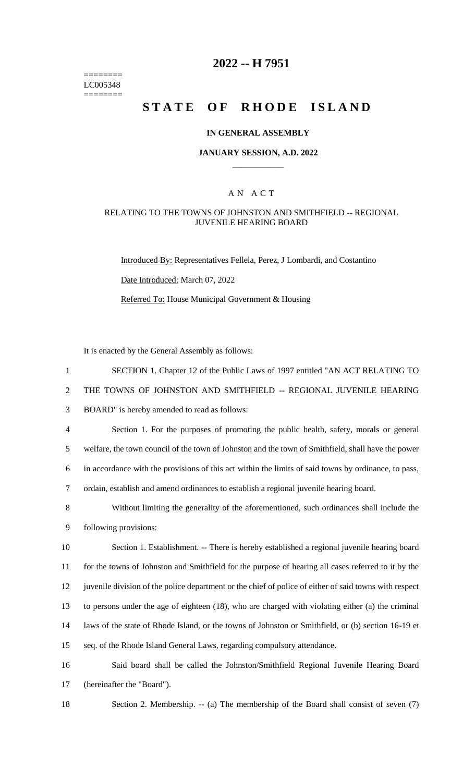======== LC005348 ========

# **2022 -- H 7951**

# **STATE OF RHODE ISLAND**

#### **IN GENERAL ASSEMBLY**

#### **JANUARY SESSION, A.D. 2022 \_\_\_\_\_\_\_\_\_\_\_\_**

### A N A C T

#### RELATING TO THE TOWNS OF JOHNSTON AND SMITHFIELD -- REGIONAL JUVENILE HEARING BOARD

Introduced By: Representatives Fellela, Perez, J Lombardi, and Costantino Date Introduced: March 07, 2022 Referred To: House Municipal Government & Housing

It is enacted by the General Assembly as follows:

| $\mathbf{1}$   | SECTION 1. Chapter 12 of the Public Laws of 1997 entitled "AN ACT RELATING TO                          |
|----------------|--------------------------------------------------------------------------------------------------------|
| 2              | THE TOWNS OF JOHNSTON AND SMITHFIELD -- REGIONAL JUVENILE HEARING                                      |
| 3              | BOARD" is hereby amended to read as follows:                                                           |
| $\overline{4}$ | Section 1. For the purposes of promoting the public health, safety, morals or general                  |
| 5              | welfare, the town council of the town of Johnston and the town of Smithfield, shall have the power     |
| 6              | in accordance with the provisions of this act within the limits of said towns by ordinance, to pass,   |
| $\tau$         | ordain, establish and amend ordinances to establish a regional juvenile hearing board.                 |
| 8              | Without limiting the generality of the aforementioned, such ordinances shall include the               |
| 9              | following provisions:                                                                                  |
| 10             | Section 1. Establishment. -- There is hereby established a regional juvenile hearing board             |
| 11             | for the towns of Johnston and Smithfield for the purpose of hearing all cases referred to it by the    |
| 12             | juvenile division of the police department or the chief of police of either of said towns with respect |
| 13             | to persons under the age of eighteen (18), who are charged with violating either (a) the criminal      |
| 14             | laws of the state of Rhode Island, or the towns of Johnston or Smithfield, or (b) section 16-19 et     |
| 15             | seq. of the Rhode Island General Laws, regarding compulsory attendance.                                |
| 16             | Said board shall be called the Johnston/Smithfield Regional Juvenile Hearing Board                     |
| 17             | (hereinafter the "Board").                                                                             |

18 Section 2. Membership. -- (a) The membership of the Board shall consist of seven (7)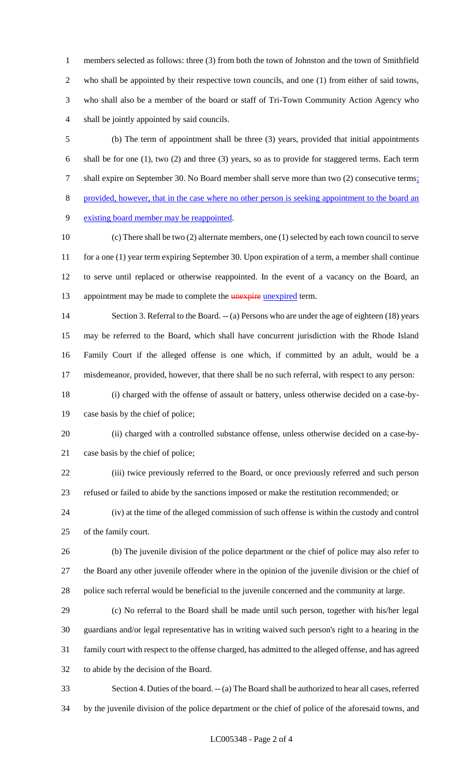members selected as follows: three (3) from both the town of Johnston and the town of Smithfield who shall be appointed by their respective town councils, and one (1) from either of said towns, who shall also be a member of the board or staff of Tri-Town Community Action Agency who shall be jointly appointed by said councils.

 (b) The term of appointment shall be three (3) years, provided that initial appointments shall be for one (1), two (2) and three (3) years, so as to provide for staggered terms. Each term 7 shall expire on September 30. No Board member shall serve more than two (2) consecutive terms; provided, however, that in the case where no other person is seeking appointment to the board an existing board member may be reappointed.

 (c) There shall be two (2) alternate members, one (1) selected by each town council to serve 11 for a one (1) year term expiring September 30. Upon expiration of a term, a member shall continue to serve until replaced or otherwise reappointed. In the event of a vacancy on the Board, an 13 appointment may be made to complete the **unexpire unexpired** term.

 Section 3. Referral to the Board. -- (a) Persons who are under the age of eighteen (18) years may be referred to the Board, which shall have concurrent jurisdiction with the Rhode Island Family Court if the alleged offense is one which, if committed by an adult, would be a misdemeanor, provided, however, that there shall be no such referral, with respect to any person:

 (i) charged with the offense of assault or battery, unless otherwise decided on a case-by-case basis by the chief of police;

 (ii) charged with a controlled substance offense, unless otherwise decided on a case-by-case basis by the chief of police;

 (iii) twice previously referred to the Board, or once previously referred and such person refused or failed to abide by the sanctions imposed or make the restitution recommended; or

 (iv) at the time of the alleged commission of such offense is within the custody and control of the family court.

 (b) The juvenile division of the police department or the chief of police may also refer to the Board any other juvenile offender where in the opinion of the juvenile division or the chief of police such referral would be beneficial to the juvenile concerned and the community at large.

 (c) No referral to the Board shall be made until such person, together with his/her legal guardians and/or legal representative has in writing waived such person's right to a hearing in the family court with respect to the offense charged, has admitted to the alleged offense, and has agreed to abide by the decision of the Board.

 Section 4. Duties of the board. -- (a) The Board shall be authorized to hear all cases, referred by the juvenile division of the police department or the chief of police of the aforesaid towns, and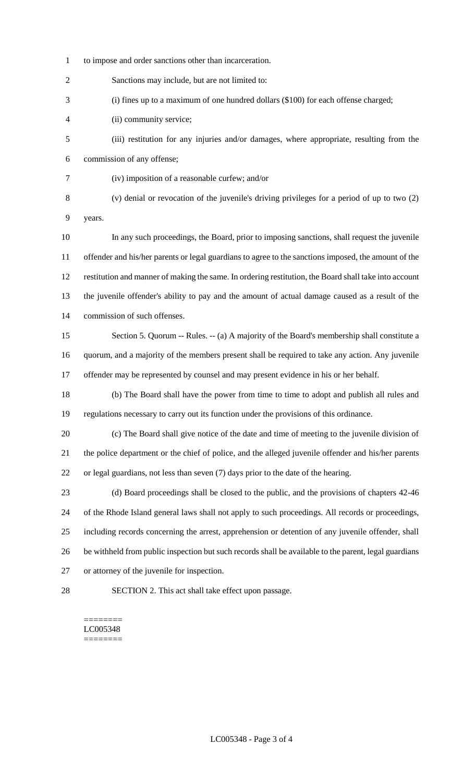to impose and order sanctions other than incarceration.

Sanctions may include, but are not limited to:

(i) fines up to a maximum of one hundred dollars (\$100) for each offense charged;

- (ii) community service;
- (iii) restitution for any injuries and/or damages, where appropriate, resulting from the commission of any offense;
- (iv) imposition of a reasonable curfew; and/or
- (v) denial or revocation of the juvenile's driving privileges for a period of up to two (2) years.
- In any such proceedings, the Board, prior to imposing sanctions, shall request the juvenile offender and his/her parents or legal guardians to agree to the sanctions imposed, the amount of the restitution and manner of making the same. In ordering restitution, the Board shall take into account the juvenile offender's ability to pay and the amount of actual damage caused as a result of the commission of such offenses.
- Section 5. Quorum -- Rules. -- (a) A majority of the Board's membership shall constitute a quorum, and a majority of the members present shall be required to take any action. Any juvenile offender may be represented by counsel and may present evidence in his or her behalf.
- (b) The Board shall have the power from time to time to adopt and publish all rules and regulations necessary to carry out its function under the provisions of this ordinance.
- (c) The Board shall give notice of the date and time of meeting to the juvenile division of the police department or the chief of police, and the alleged juvenile offender and his/her parents or legal guardians, not less than seven (7) days prior to the date of the hearing.
- (d) Board proceedings shall be closed to the public, and the provisions of chapters 42-46 of the Rhode Island general laws shall not apply to such proceedings. All records or proceedings, including records concerning the arrest, apprehension or detention of any juvenile offender, shall be withheld from public inspection but such records shall be available to the parent, legal guardians or attorney of the juvenile for inspection.
- 

SECTION 2. This act shall take effect upon passage.

======== LC005348 ========